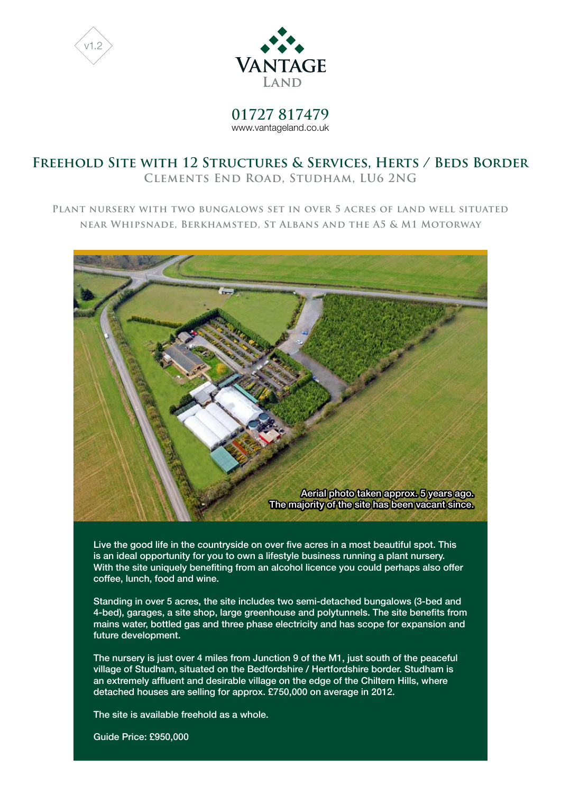



**01727 817479** www.vantageland.co.uk

# **Freehold Site with 12 Structures & Services, Herts / Beds Border Clements End Road, Studham, LU6 2NG**

**Plant nursery with two bungalows set in over 5 acres of land well situated near Whipsnade, Berkhamsted, St Albans and the A5 & M1 Motorway**



Live the good life in the countryside on over five acres in a most beautiful spot. This is an ideal opportunity for you to own a lifestyle business running a plant nursery. With the site uniquely benefiting from an alcohol licence you could perhaps also offer coffee, lunch, food and wine.

Standing in over 5 acres, the site includes two semi-detached bungalows (3-bed and 4-bed), garages, a site shop, large greenhouse and polytunnels. The site benefits from mains water, bottled gas and three phase electricity and has scope for expansion and future development.

The nursery is just over 4 miles from Junction 9 of the M1, just south of the peaceful village of Studham, situated on the Bedfordshire / Hertfordshire border. Studham is an extremely affluent and desirable village on the edge of the Chiltern Hills, where detached houses are selling for approx. £750,000 on average in 2012.

The site is available freehold as a whole.

Guide Price: £950,000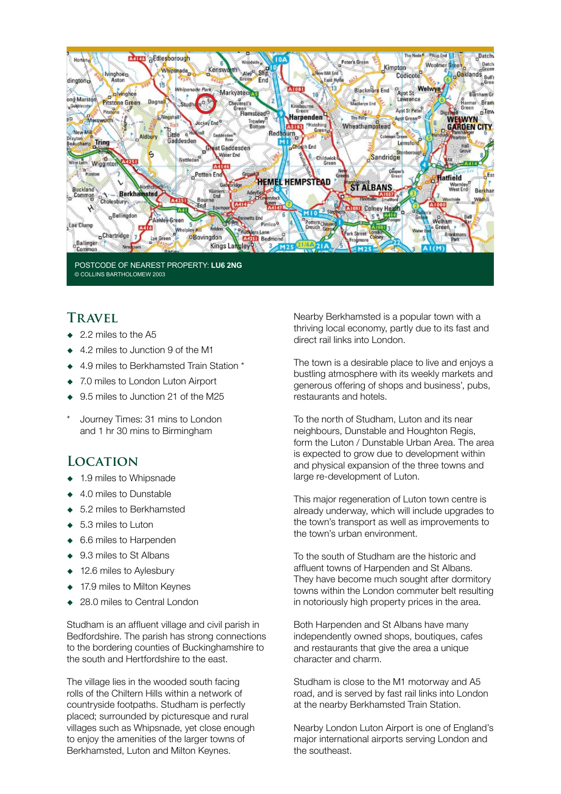

© COLLINS BARTHOLOMEW 2003

# **Travel**

- $\bullet$  2.2 miles to the A5
- 4.2 miles to Junction 9 of the M1
- 4.9 miles to Berkhamsted Train Station \*
- 7.0 miles to London Luton Airport
- 9.5 miles to Junction 21 of the M25
- Journey Times: 31 mins to London and 1 hr 30 mins to Birmingham

# **Location**

- ◆ 1.9 miles to Whipsnade
- 4.0 miles to Dunstable
- 5.2 miles to Berkhamsted
- 5.3 miles to Luton
- ◆ 6.6 miles to Harpenden
- ◆ 9.3 miles to St Albans
- 12.6 miles to Aylesbury
- ◆ 17.9 miles to Milton Keynes
- 28.0 miles to Central London

Studham is an affluent village and civil parish in Bedfordshire. The parish has strong connections to the bordering counties of Buckinghamshire to the south and Hertfordshire to the east.

The village lies in the wooded south facing rolls of the Chiltern Hills within a network of countryside footpaths. Studham is perfectly placed; surrounded by picturesque and rural villages such as Whipsnade, yet close enough to enjoy the amenities of the larger towns of Berkhamsted, Luton and Milton Keynes.

Nearby Berkhamsted is a popular town with a thriving local economy, partly due to its fast and direct rail links into London.

The town is a desirable place to live and enjoys a bustling atmosphere with its weekly markets and generous offering of shops and business', pubs, restaurants and hotels.

To the north of Studham, Luton and its near neighbours, Dunstable and Houghton Regis, form the Luton / Dunstable Urban Area. The area is expected to grow due to development within and physical expansion of the three towns and large re-development of Luton.

This major regeneration of Luton town centre is already underway, which will include upgrades to the town's transport as well as improvements to the town's urban environment.

To the south of Studham are the historic and affluent towns of Harpenden and St Albans. They have become much sought after dormitory towns within the London commuter belt resulting in notoriously high property prices in the area.

Both Harpenden and St Albans have many independently owned shops, boutiques, cafes and restaurants that give the area a unique character and charm.

Studham is close to the M1 motorway and A5 road, and is served by fast rail links into London at the nearby Berkhamsted Train Station.

Nearby London Luton Airport is one of England's major international airports serving London and the southeast.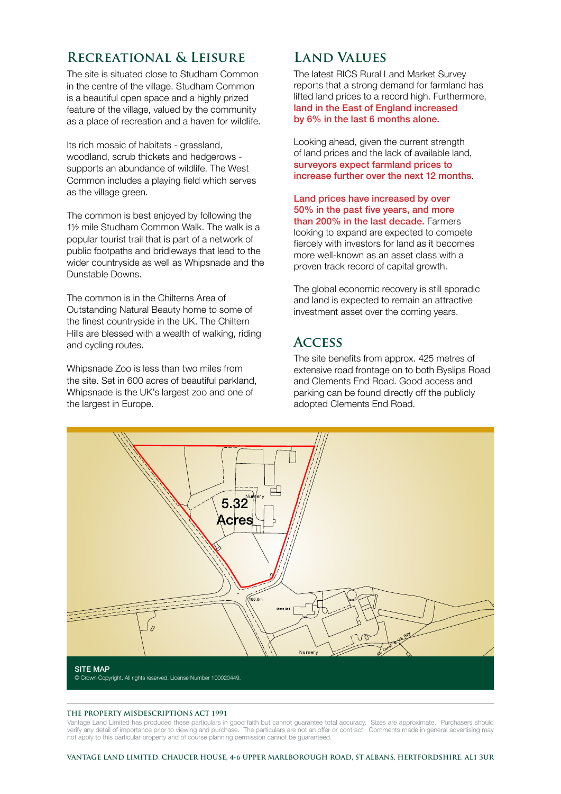# **Recreational & Leisure**

The site is situated close to Studham Common in the centre of the village. Studham Common is a beautiful open space and a highly prized feature of the village, valued by the community as a place of recreation and a haven for wildlife.

Its rich mosaic of habitats - grassland, woodland, scrub thickets and hedgerows supports an abundance of wildlife. The West Common includes a playing field which serves as the village green.

The common is best enjoyed by following the 1½ mile Studham Common Walk. The walk is a popular tourist trail that is part of a network of public footpaths and bridleways that lead to the wider countryside as well as Whipsnade and the Dunstable Downs.

The common is in the Chilterns Area of Outstanding Natural Beauty home to some of the finest countryside in the UK. The Chiltern Hills are blessed with a wealth of walking, riding and cycling routes.

Whipsnade Zoo is less than two miles from the site. Set in 600 acres of beautiful parkland, Whipsnade is the UK's largest zoo and one of the largest in Europe.

# **Land Values**

The latest RICS Rural Land Market Survey reports that a strong demand for farmland has lifted land prices to a record high. Furthermore, land in the East of England increased by 6% in the last 6 months alone.

Looking ahead, given the current strength of land prices and the lack of available land, surveyors expect farmland prices to increase further over the next 12 months.

Land prices have increased by over 50% in the past five years, and more than 200% in the last decade. Farmers looking to expand are expected to compete fiercely with investors for land as it becomes more well-known as an asset class with a proven track record of capital growth.

The global economic recovery is still sporadic and land is expected to remain an attractive investment asset over the coming years.

### **Access**

The site benefits from approx. 425 metres of extensive road frontage on to both Byslips Road and Clements End Road. Good access and parking can be found directly off the publicly adopted Clements End Road.



#### **THE PROPERTY MISDESCRIPTIONS ACT 1991**

Vantage Land Limited has produced these particulars in good faith but cannot guarantee total accuracy. Sizes are approximate. Purchasers should verify any detail of importance prior to viewing and purchase. The particulars are not an offer or contract. Comments made in general advertising may not apply to this particular property and of course planning permission cannot be guaranteed.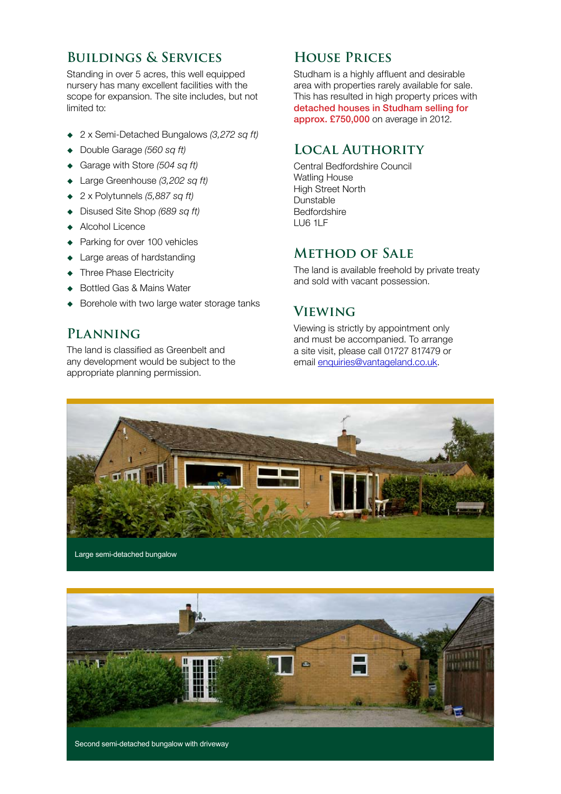### **Buildings & Services**

Standing in over 5 acres, this well equipped nursery has many excellent facilities with the scope for expansion. The site includes, but not limited to:

- 2 x Semi-Detached Bungalows *(3,272 sq ft)*
- Double Garage *(560 sq ft)*
- Garage with Store *(504 sq ft)*
- Large Greenhouse *(3,202 sq ft)*
- 2 x Polytunnels *(5,887 sq ft)*
- Disused Site Shop *(689 sq ft)*
- ◆ Alcohol Licence
- Parking for over 100 vehicles
- Large areas of hardstanding
- Three Phase Electricity
- ◆ Bottled Gas & Mains Water
- Borehole with two large water storage tanks

### **Planning**

The land is classified as Greenbelt and any development would be subject to the appropriate planning permission.

# **House Prices**

Studham is a highly affluent and desirable area with properties rarely available for sale. This has resulted in high property prices with detached houses in Studham selling for approx. £750,000 on average in 2012.

#### **Local Authority**

Central Bedfordshire Council Watling House High Street North Dunstable Bedfordshire LU6 1LF

# **Method of Sale**

The land is available freehold by private treaty and sold with vacant possession.

# **Viewing**

Viewing is strictly by appointment only and must be accompanied. To arrange a site visit, please call 01727 817479 or email enquiries@vantageland.co.uk.





Second semi-detached bungalow with driveway